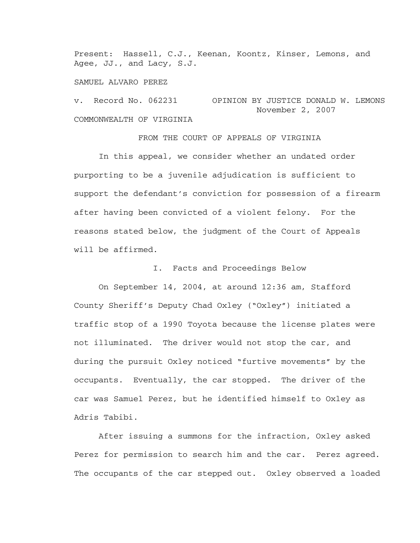Present: Hassell, C.J., Keenan, Koontz, Kinser, Lemons, and Agee, JJ., and Lacy, S.J.

SAMUEL ALVARO PEREZ

v. Record No. 062231 OPINION BY JUSTICE DONALD W. LEMONS November 2, 2007 COMMONWEALTH OF VIRGINIA

FROM THE COURT OF APPEALS OF VIRGINIA

 In this appeal, we consider whether an undated order purporting to be a juvenile adjudication is sufficient to support the defendant's conviction for possession of a firearm after having been convicted of a violent felony. For the reasons stated below, the judgment of the Court of Appeals will be affirmed.

I. Facts and Proceedings Below

 On September 14, 2004, at around 12:36 am, Stafford County Sheriff's Deputy Chad Oxley ("Oxley") initiated a traffic stop of a 1990 Toyota because the license plates were not illuminated. The driver would not stop the car, and during the pursuit Oxley noticed "furtive movements" by the occupants. Eventually, the car stopped. The driver of the car was Samuel Perez, but he identified himself to Oxley as Adris Tabibi.

 After issuing a summons for the infraction, Oxley asked Perez for permission to search him and the car. Perez agreed. The occupants of the car stepped out. Oxley observed a loaded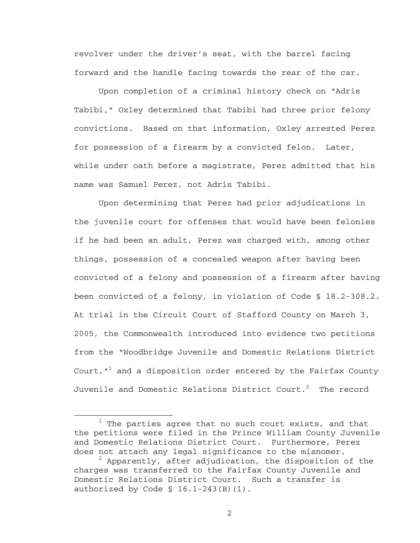revolver under the driver's seat, with the barrel facing forward and the handle facing towards the rear of the car.

 Upon completion of a criminal history check on "Adris Tabibi," Oxley determined that Tabibi had three prior felony convictions. Based on that information, Oxley arrested Perez for possession of a firearm by a convicted felon. Later, while under oath before a magistrate, Perez admitted that his name was Samuel Perez, not Adris Tabibi.

 Upon determining that Perez had prior adjudications in the juvenile court for offenses that would have been felonies if he had been an adult, Perez was charged with, among other things, possession of a concealed weapon after having been convicted of a felony and possession of a firearm after having been convicted of a felony, in violation of Code § 18.2-308.2. At trial in the Circuit Court of Stafford County on March 3, 2005, the Commonwealth introduced into evidence two petitions from the "Woodbridge Juvenile and Domestic Relations District Court, $^{\prime\prime}{}^1$  and a disposition order entered by the Fairfax County Juvenile and Domestic Relations District Court. $^2$  The record

<sup>1</sup>  $1$  The parties agree that no such court exists, and that the petitions were filed in the Prince William County Juvenile and Domestic Relations District Court. Furthermore, Perez does not attach any legal significance to the misnomer.

 $^2$  Apparently, after adjudication, the disposition of the charges was transferred to the Fairfax County Juvenile and Domestic Relations District Court. Such a transfer is authorized by Code  $\S$  16.1-243(B)(1).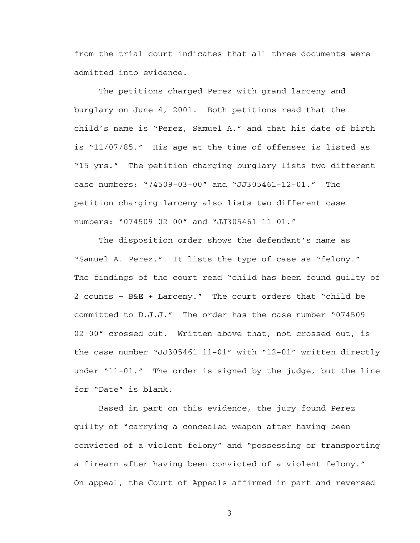from the trial court indicates that all three documents were admitted into evidence.

 The petitions charged Perez with grand larceny and burglary on June 4, 2001. Both petitions read that the child's name is "Perez, Samuel A." and that his date of birth is "11/07/85." His age at the time of offenses is listed as "15 yrs." The petition charging burglary lists two different case numbers: "74509-03-00" and "JJ305461-12-01." The petition charging larceny also lists two different case numbers: "074509-02-00" and "JJ305461-11-01."

 The disposition order shows the defendant's name as "Samuel A. Perez." It lists the type of case as "felony." The findings of the court read "child has been found guilty of 2 counts – B&E + Larceny." The court orders that "child be committed to D.J.J." The order has the case number "074509- 02-00" crossed out. Written above that, not crossed out, is the case number "JJ305461 11-01" with "12-01" written directly under "11-01." The order is signed by the judge, but the line for "Date" is blank.

Based in part on this evidence, the jury found Perez guilty of "carrying a concealed weapon after having been convicted of a violent felony" and "possessing or transporting a firearm after having been convicted of a violent felony." On appeal, the Court of Appeals affirmed in part and reversed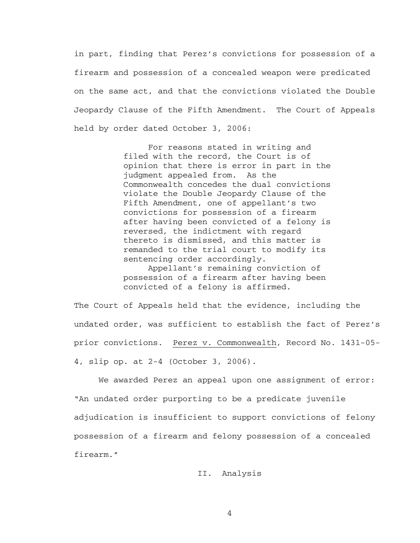in part, finding that Perez's convictions for possession of a firearm and possession of a concealed weapon were predicated on the same act, and that the convictions violated the Double Jeopardy Clause of the Fifth Amendment. The Court of Appeals held by order dated October 3, 2006:

> For reasons stated in writing and filed with the record, the Court is of opinion that there is error in part in the judgment appealed from. As the Commonwealth concedes the dual convictions violate the Double Jeopardy Clause of the Fifth Amendment, one of appellant's two convictions for possession of a firearm after having been convicted of a felony is reversed, the indictment with regard thereto is dismissed, and this matter is remanded to the trial court to modify its sentencing order accordingly.

Appellant's remaining conviction of possession of a firearm after having been convicted of a felony is affirmed.

The Court of Appeals held that the evidence, including the undated order, was sufficient to establish the fact of Perez's prior convictions. Perez v. Commonwealth, Record No. 1431-05- 4, slip op. at 2-4 (October 3, 2006).

We awarded Perez an appeal upon one assignment of error: "An undated order purporting to be a predicate juvenile adjudication is insufficient to support convictions of felony possession of a firearm and felony possession of a concealed firearm."

## II. Analysis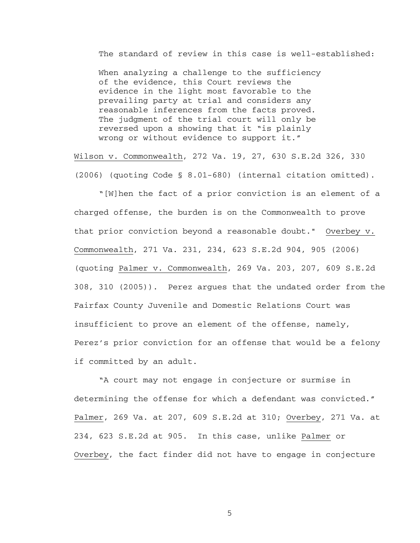The standard of review in this case is well-established:

When analyzing a challenge to the sufficiency of the evidence, this Court reviews the evidence in the light most favorable to the prevailing party at trial and considers any reasonable inferences from the facts proved. The judgment of the trial court will only be reversed upon a showing that it "is plainly wrong or without evidence to support it."

Wilson v. Commonwealth, 272 Va. 19, 27, 630 S.E.2d 326, 330 (2006) (quoting Code § 8.01-680) (internal citation omitted).

 "[W]hen the fact of a prior conviction is an element of a charged offense, the burden is on the Commonwealth to prove that prior conviction beyond a reasonable doubt." Overbey v. Commonwealth, 271 Va. 231, 234, 623 S.E.2d 904, 905 (2006) (quoting Palmer v. Commonwealth, 269 Va. 203, 207, 609 S.E.2d 308, 310 (2005)). Perez argues that the undated order from the Fairfax County Juvenile and Domestic Relations Court was insufficient to prove an element of the offense, namely, Perez's prior conviction for an offense that would be a felony if committed by an adult.

 "A court may not engage in conjecture or surmise in determining the offense for which a defendant was convicted." Palmer, 269 Va. at 207, 609 S.E.2d at 310; Overbey, 271 Va. at 234, 623 S.E.2d at 905. In this case, unlike Palmer or Overbey, the fact finder did not have to engage in conjecture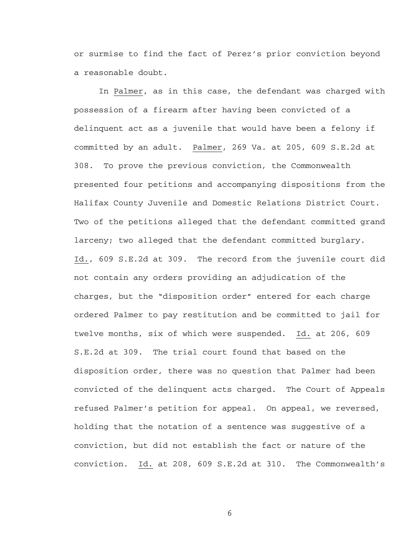or surmise to find the fact of Perez's prior conviction beyond a reasonable doubt.

 In Palmer, as in this case, the defendant was charged with possession of a firearm after having been convicted of a delinquent act as a juvenile that would have been a felony if committed by an adult. Palmer, 269 Va. at 205, 609 S.E.2d at 308. To prove the previous conviction, the Commonwealth presented four petitions and accompanying dispositions from the Halifax County Juvenile and Domestic Relations District Court. Two of the petitions alleged that the defendant committed grand larceny; two alleged that the defendant committed burglary. Id., 609 S.E.2d at 309. The record from the juvenile court did not contain any orders providing an adjudication of the charges, but the "disposition order" entered for each charge ordered Palmer to pay restitution and be committed to jail for twelve months, six of which were suspended. Id. at 206, 609 S.E.2d at 309. The trial court found that based on the disposition order, there was no question that Palmer had been convicted of the delinquent acts charged. The Court of Appeals refused Palmer's petition for appeal. On appeal, we reversed, holding that the notation of a sentence was suggestive of a conviction, but did not establish the fact or nature of the conviction. Id. at 208, 609 S.E.2d at 310. The Commonwealth's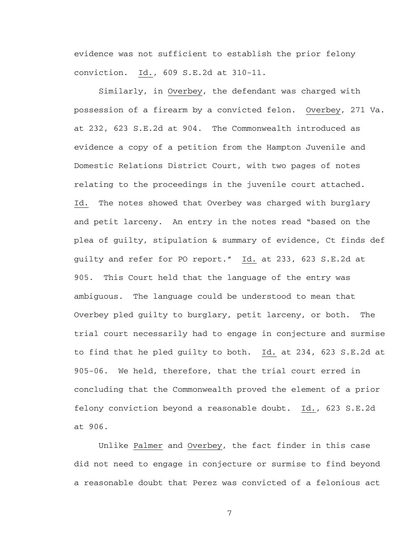evidence was not sufficient to establish the prior felony conviction. Id., 609 S.E.2d at 310-11.

 Similarly, in Overbey, the defendant was charged with possession of a firearm by a convicted felon. Overbey, 271 Va. at 232, 623 S.E.2d at 904. The Commonwealth introduced as evidence a copy of a petition from the Hampton Juvenile and Domestic Relations District Court, with two pages of notes relating to the proceedings in the juvenile court attached. Id. The notes showed that Overbey was charged with burglary and petit larceny. An entry in the notes read "based on the plea of guilty, stipulation & summary of evidence, Ct finds def guilty and refer for PO report." Id. at 233, 623 S.E.2d at 905. This Court held that the language of the entry was ambiguous. The language could be understood to mean that Overbey pled guilty to burglary, petit larceny, or both. The trial court necessarily had to engage in conjecture and surmise to find that he pled guilty to both. Id. at 234, 623 S.E.2d at 905-06. We held, therefore, that the trial court erred in concluding that the Commonwealth proved the element of a prior felony conviction beyond a reasonable doubt. Id., 623 S.E.2d at 906.

 Unlike Palmer and Overbey, the fact finder in this case did not need to engage in conjecture or surmise to find beyond a reasonable doubt that Perez was convicted of a felonious act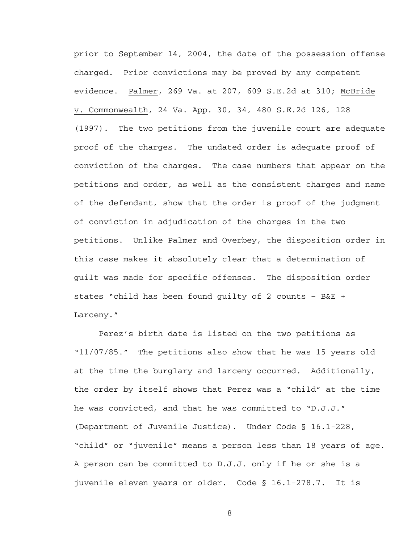prior to September 14, 2004, the date of the possession offense charged. Prior convictions may be proved by any competent evidence. Palmer, 269 Va. at 207, 609 S.E.2d at 310; McBride v. Commonwealth, 24 Va. App. 30, 34, 480 S.E.2d 126, 128 (1997). The two petitions from the juvenile court are adequate proof of the charges. The undated order is adequate proof of conviction of the charges. The case numbers that appear on the petitions and order, as well as the consistent charges and name of the defendant, show that the order is proof of the judgment of conviction in adjudication of the charges in the two petitions. Unlike Palmer and Overbey, the disposition order in this case makes it absolutely clear that a determination of guilt was made for specific offenses. The disposition order states "child has been found guilty of 2 counts – B&E + Larceny."

 Perez's birth date is listed on the two petitions as "11/07/85." The petitions also show that he was 15 years old at the time the burglary and larceny occurred. Additionally, the order by itself shows that Perez was a "child" at the time he was convicted, and that he was committed to "D.J.J." (Department of Juvenile Justice). Under Code § 16.1-228, "child" or "juvenile" means a person less than 18 years of age. A person can be committed to D.J.J. only if he or she is a juvenile eleven years or older. Code § 16.1-278.7. It is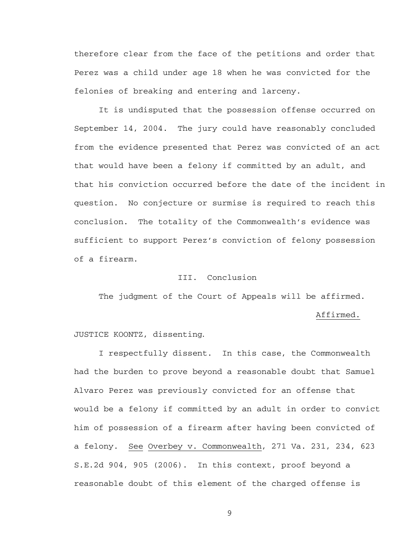therefore clear from the face of the petitions and order that Perez was a child under age 18 when he was convicted for the felonies of breaking and entering and larceny.

 It is undisputed that the possession offense occurred on September 14, 2004. The jury could have reasonably concluded from the evidence presented that Perez was convicted of an act that would have been a felony if committed by an adult, and that his conviction occurred before the date of the incident in question. No conjecture or surmise is required to reach this conclusion. The totality of the Commonwealth's evidence was sufficient to support Perez's conviction of felony possession of a firearm.

## III. Conclusion

The judgment of the Court of Appeals will be affirmed.

Affirmed.

## JUSTICE KOONTZ, dissenting.

 I respectfully dissent. In this case, the Commonwealth had the burden to prove beyond a reasonable doubt that Samuel Alvaro Perez was previously convicted for an offense that would be a felony if committed by an adult in order to convict him of possession of a firearm after having been convicted of a felony. See Overbey v. Commonwealth, 271 Va. 231, 234, 623 S.E.2d 904, 905 (2006). In this context, proof beyond a reasonable doubt of this element of the charged offense is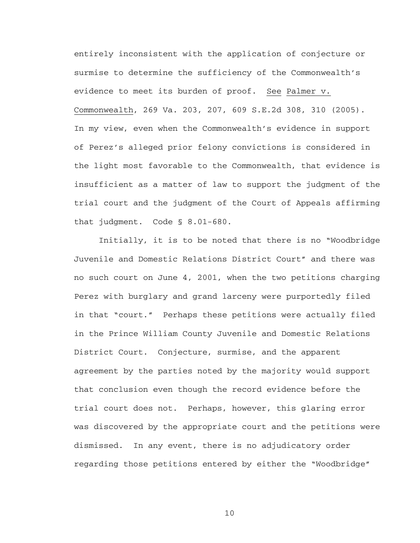entirely inconsistent with the application of conjecture or surmise to determine the sufficiency of the Commonwealth's evidence to meet its burden of proof. See Palmer v. Commonwealth, 269 Va. 203, 207, 609 S.E.2d 308, 310 (2005). In my view, even when the Commonwealth's evidence in support of Perez's alleged prior felony convictions is considered in the light most favorable to the Commonwealth, that evidence is insufficient as a matter of law to support the judgment of the trial court and the judgment of the Court of Appeals affirming that judgment. Code § 8.01-680.

 Initially, it is to be noted that there is no "Woodbridge Juvenile and Domestic Relations District Court" and there was no such court on June 4, 2001, when the two petitions charging Perez with burglary and grand larceny were purportedly filed in that "court." Perhaps these petitions were actually filed in the Prince William County Juvenile and Domestic Relations District Court. Conjecture, surmise, and the apparent agreement by the parties noted by the majority would support that conclusion even though the record evidence before the trial court does not. Perhaps, however, this glaring error was discovered by the appropriate court and the petitions were dismissed. In any event, there is no adjudicatory order regarding those petitions entered by either the "Woodbridge"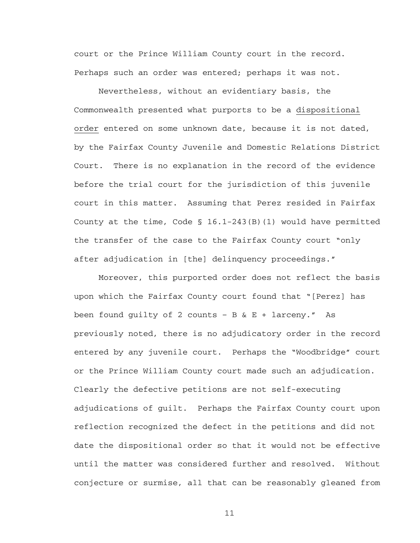court or the Prince William County court in the record. Perhaps such an order was entered; perhaps it was not.

 Nevertheless, without an evidentiary basis, the Commonwealth presented what purports to be a dispositional order entered on some unknown date, because it is not dated, by the Fairfax County Juvenile and Domestic Relations District Court. There is no explanation in the record of the evidence before the trial court for the jurisdiction of this juvenile court in this matter. Assuming that Perez resided in Fairfax County at the time, Code  $\S$  16.1-243(B)(1) would have permitted the transfer of the case to the Fairfax County court "only after adjudication in [the] delinquency proceedings."

Moreover, this purported order does not reflect the basis upon which the Fairfax County court found that "[Perez] has been found guilty of 2 counts - B  $&E +$  larceny." As previously noted, there is no adjudicatory order in the record entered by any juvenile court. Perhaps the "Woodbridge" court or the Prince William County court made such an adjudication. Clearly the defective petitions are not self-executing adjudications of guilt. Perhaps the Fairfax County court upon reflection recognized the defect in the petitions and did not date the dispositional order so that it would not be effective until the matter was considered further and resolved. Without conjecture or surmise, all that can be reasonably gleaned from